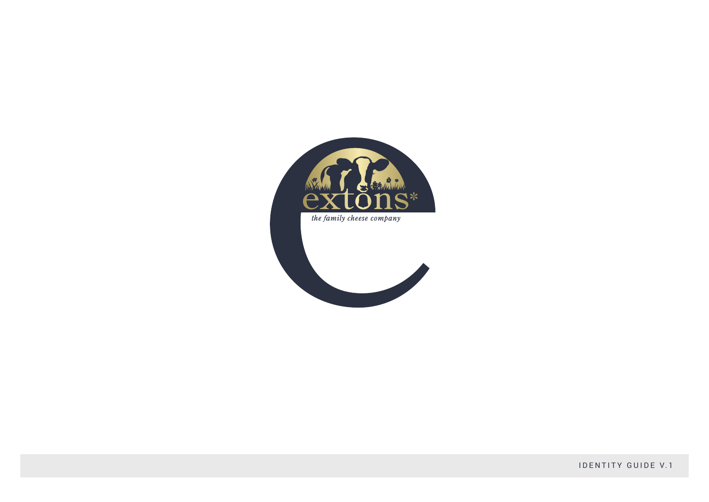

**IDENTITY GUIDE V.1**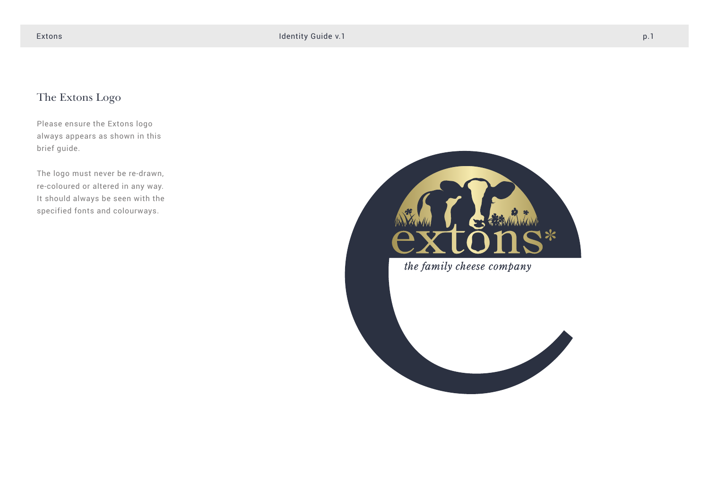# The Extons Logo

Please ensure the Extons logo always appears as shown in this brief guide.

The logo must never be re-drawn, re-coloured or altered in any way. It should always be seen with the specified fonts and colourways.



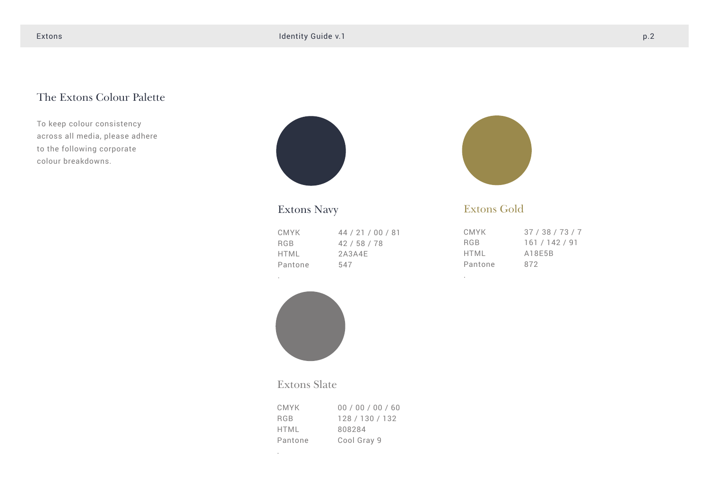## The Extons Colour Palette

To keep colour consistency across all media, please adhere to the following corporate colour breakdowns.



# Extons Navy

.

.

| CMYK       | 44 / 21 / 00 / 81 |
|------------|-------------------|
| <b>RGB</b> | 42/58/78          |
| HTML       | 2A3A4F            |
| Pantone    | 547               |



### Extons Gold

.

| CMYK    | 37/38/73/7 |
|---------|------------|
| RGB     | 161/142/91 |
| HTMI    | A18F5B     |
| Pantone | 872        |



### Extons Slate

| CMYK.      | 00 / 00 / 00 / 60 |
|------------|-------------------|
| <b>RGB</b> | 128 / 130 / 132   |
| HTML       | 808284            |
| Pantone    | Cool Gray 9       |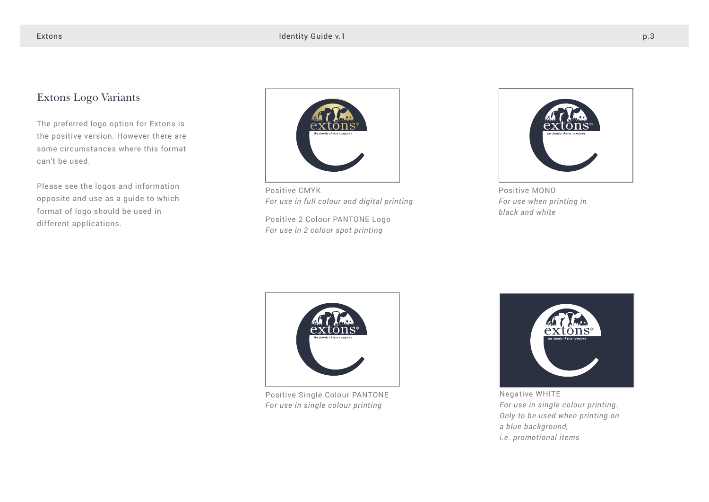### Extons Logo Variants

The preferred logo option for Extons is the positive version. However there are some circumstances where this format can't be used.

Please see the logos and information opposite and use as a guide to which format of logo should be used in different applications.



Positive CMYK *For use in full colour and digital printing*

Positive 2 Colour PANTONE Logo *For use in 2 colour spot printing*



Positive MONO *For use when printing in black and white*



Positive Single Colour PANTONE *For use in single colour printing*



Negative WHITE *For use in single colour printing. Only to be used when printing on a blue background, i.e. promotional items*